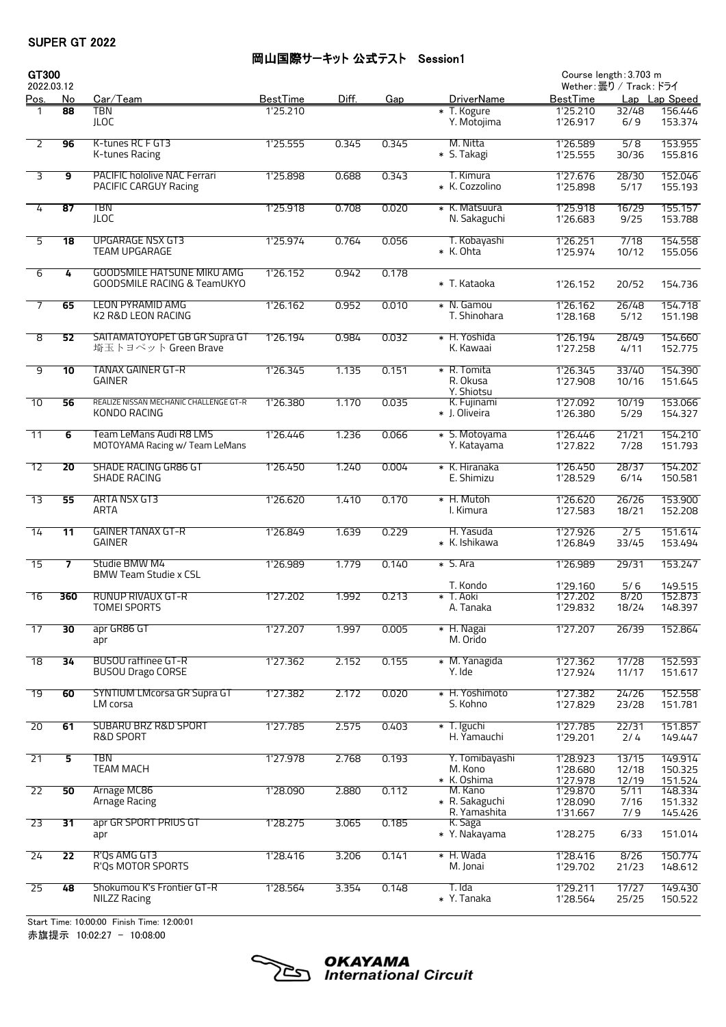## 岡山国際サーキット 公式テスト Session1

| GT300<br>2022.03.12 |                 |                                                                             |                 |       |       |                                            | Course length: 3.703 m<br>Wether:曇り / Track: ドライ |                       |                               |  |
|---------------------|-----------------|-----------------------------------------------------------------------------|-----------------|-------|-------|--------------------------------------------|--------------------------------------------------|-----------------------|-------------------------------|--|
| <u>Pos.</u>         | <u>No</u>       | <u>Car/Team</u>                                                             | <b>BestTime</b> | Diff. | Gap   | <b>DriverName</b>                          | <u>BestTime</u>                                  |                       | Lap Lap Speed                 |  |
|                     | 88              | TBN<br><b>JLOC</b>                                                          | 1'25.210        |       |       | * T. Kogure<br>Y. Motojima                 | 1'25.210<br>1'26.917                             | 32/48<br>6/9          | 156.446<br>153.374            |  |
| $\overline{2}$      | 96              | K-tunes RC F GT3<br>K-tunes Racing                                          | 1'25.555        | 0.345 | 0.345 | M. Nitta<br>* S. Takagi                    | 1'26.589<br>1'25.555                             | 5/8<br>30/36          | 153.955<br>155.816            |  |
| $\overline{3}$      | $\overline{9}$  | <b>PACIFIC hololive NAC Ferrari</b><br>PACIFIC CARGUY Racing                | 1'25.898        | 0.688 | 0.343 | T. Kimura<br>* K. Cozzolino                | 1'27.676<br>1'25.898                             | 28/30<br>5/17         | 152.046<br>155.193            |  |
| 4                   | 87              | <b>TBN</b><br><b>JLOC</b>                                                   | 1'25.918        | 0.708 | 0.020 | * K. Matsuura<br>N. Sakaguchi              | 1'25.918<br>1'26.683                             | 16/29<br>9/25         | 155.157<br>153.788            |  |
| 5                   | $\overline{18}$ | <b>UPGARAGE NSX GT3</b><br><b>TEAM UPGARAGE</b>                             | 1'25.974        | 0.764 | 0.056 | T. Kobayashi<br>* K. Ohta                  | 1'26.251<br>1'25.974                             | 7/18<br>10/12         | 154.558<br>155.056            |  |
| $\overline{6}$      | 4               | <b>GOODSMILE HATSUNE MIKU AMG</b><br><b>GOODSMILE RACING &amp; TeamUKYO</b> | 1'26.152        | 0.942 | 0.178 | * T. Kataoka                               | 1'26.152                                         | 20/52                 | 154.736                       |  |
| $\overline{7}$      | 65              | <b>LEON PYRAMID AMG</b><br>K2 R&D LEON RACING                               | 1'26.162        | 0.952 | 0.010 | * N. Gamou<br>T. Shinohara                 | 1'26.162<br>1'28.168                             | 26/48<br>5/12         | 154.718<br>151.198            |  |
| ø                   | 52              | SAITAMATOYOPET GB GR Supra GT<br>埼玉トヨペット Green Brave                        | 1'26.194        | 0.984 | 0.032 | * H. Yoshida<br>K. Kawaai                  | 1'26.194<br>1'27.258                             | 28/49<br>4/11         | 154.660<br>152.775            |  |
| 9                   | $\overline{10}$ | <b>TANAX GAINER GT-R</b><br><b>GAINER</b>                                   | 1'26.345        | 1.135 | 0.151 | * R. Tomita<br>R. Okusa                    | 1'26.345<br>1'27.908                             | 33/40<br>10/16        | 154.390<br>151.645            |  |
| $\overline{10}$     | 56              | REALIZE NISSAN MECHANIC CHALLENGE GT-R<br>KONDO RACING                      | 1'26.380        | 1.170 | 0.035 | Y. Shiotsu<br>K. Fujinami<br>* J. Oliveira | 1'27.092<br>1'26.380                             | 10/19<br>5/29         | 153.066<br>154.327            |  |
| $\overline{11}$     | 6               | Team LeMans Audi R8 LMS<br>MOTOYAMA Racing w/ Team LeMans                   | 1'26.446        | 1.236 | 0.066 | * S. Motoyama<br>Y. Katayama               | 1'26.446<br>1'27.822                             | 21/21<br>7/28         | 154.210<br>151.793            |  |
| 12                  | 20              | <b>SHADE RACING GR86 GT</b><br>SHADE RACING                                 | 1'26.450        | 1.240 | 0.004 | * K. Hiranaka<br>E. Shimizu                | 1'26.450<br>1'28.529                             | 28/37<br>6/14         | 154.202<br>150.581            |  |
| $\overline{13}$     | 55              | ARTA NSX GT3<br>ARTA                                                        | 1'26.620        | 1.410 | 0.170 | * H. Mutoh<br>I. Kimura                    | 1'26.620<br>1'27.583                             | 26/26<br>18/21        | 153.900<br>152.208            |  |
| $\overline{14}$     | $\overline{11}$ | <b>GAINER TANAX GT-R</b><br><b>GAINER</b>                                   | 1'26.849        | 1.639 | 0.229 | H. Yasuda<br>* K. Ishikawa                 | 1'27.926<br>1'26.849                             | 2/5<br>33/45          | 151.614<br>153.494            |  |
| $\overline{15}$     | $\overline{7}$  | Studie BMW M4<br><b>BMW Team Studie x CSL</b>                               | 1'26.989        | 1.779 | 0.140 | * S. Ara                                   | 1'26.989                                         | 29/31                 | 153.247                       |  |
| $\overline{16}$     | 360             | RUNUP RIVAUX GT-R<br><b>TOMEI SPORTS</b>                                    | 1'27.202        | 1.992 | 0.213 | T. Kondo<br>* T. Aoki<br>A. Tanaka         | 1'29.160<br>1'27.202<br>1'29.832                 | 5/6<br>8/20<br>18/24  | 149.515<br>152.873<br>148.397 |  |
| $\overline{17}$     | $\overline{30}$ | apr GR86 GT<br>apr                                                          | 1'27.207        | 1.997 | 0.005 | * H. Nagai<br>M. Orido                     | 1'27.207                                         | 26/39                 | 152.864                       |  |
| $\overline{18}$     | 34              | <b>BUSOU raffinee GT-R</b><br><b>BUSOU Drago CORSE</b>                      | 1'27.362        | 2.152 | 0.155 | * M. Yanagida<br>Y. Ide                    | 1'27.362<br>1'27.924                             | 17/28<br>11/17        | 152.593<br>151.617            |  |
| $\overline{19}$     | 60              | <b>SYNTIUM LMcorsa GR Supra GT</b><br>LM corsa                              | 1'27.382        | 2.172 | 0.020 | * H. Yoshimoto<br>S. Kohno                 | 1'27.382<br>1'27.829                             | 24/26<br>23/28        | 152.558<br>151.781            |  |
| 20                  | 61              | SUBARU BRZ R&D SPORT<br>R&D SPORT                                           | 1'27.785        | 2.575 | 0.403 | * T. Iguchi<br>H. Yamauchi                 | 1'27.785<br>1'29.201                             | 22/31<br>2/4          | 151.857<br>149.447            |  |
| $\overline{21}$     | 5               | <b>TBN</b><br><b>TEAM MACH</b>                                              | 1'27.978        | 2.768 | 0.193 | Y. Tomibayashi<br>M. Kono                  | 1'28.923<br>1'28.680                             | 13/15<br>12/18        | 149.914<br>150.325            |  |
| $\overline{22}$     | 50              | Arnage MC86<br>Arnage Racing                                                | 1'28.090        | 2.880 | 0.112 | * K. Oshima<br>M. Kano<br>* R. Sakaguchi   | 1'27.978<br>1'29.870<br>1'28.090                 | 12/19<br>5/11<br>7/16 | 151.524<br>148.334<br>151.332 |  |
| 23                  | 31              | apr GR SPORT PRIUS GT<br>apr                                                | 1'28.275        | 3.065 | 0.185 | R. Yamashita<br>K. Saga<br>* Y. Nakayama   | 1'31.667<br>1'28.275                             | 7/9<br>6/33           | 145.426<br>151.014            |  |
| 24                  | $\overline{22}$ | R'Os AMG GT3<br>R'Qs MOTOR SPORTS                                           | 1'28.416        | 3.206 | 0.141 | * H. Wada<br>M. Jonai                      | 1'28.416<br>1'29.702                             | 8/26<br>21/23         | 150.774<br>148.612            |  |
| $\overline{25}$     | 48              | Shokumou K's Frontier GT-R<br><b>NILZZ Racing</b>                           | 1'28.564        | 3.354 | 0.148 | T. Ida<br>* Y. Tanaka                      | 1'29.211<br>1'28.564                             | 17/27<br>25/25        | 149.430<br>150.522            |  |
|                     |                 |                                                                             |                 |       |       |                                            |                                                  |                       |                               |  |

Start Time: 10:00:00 Finish Time: 12:00:01 赤旗提示 10:02:27 - 10:08:00

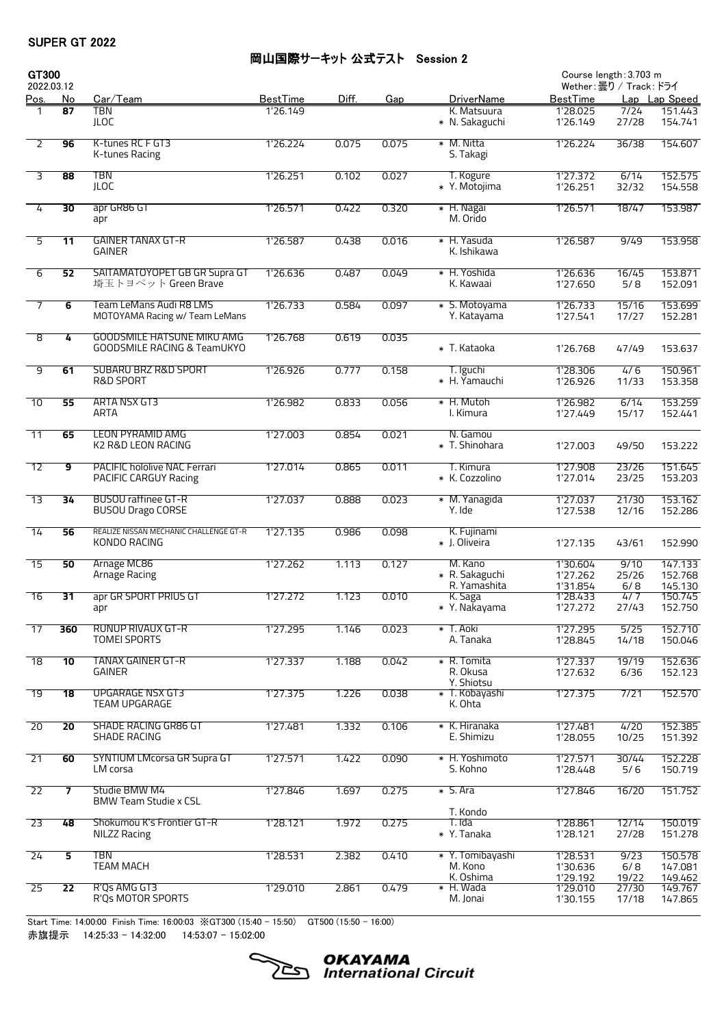#### 岡山国際サーキット 公式テスト Session 2

| GT300<br>2022.03.12 |                 |                                                                             |                 |       |       |                                          | Course length: 3.703 m<br>Wether:曇り / Track: ドライ |                     |                               |  |
|---------------------|-----------------|-----------------------------------------------------------------------------|-----------------|-------|-------|------------------------------------------|--------------------------------------------------|---------------------|-------------------------------|--|
| <u>Pos.</u>         | <u>No</u>       | <u>Car/Team</u>                                                             | <b>BestTime</b> | Diff. | Gap   | <b>DriverName</b>                        | <u>BestTime</u>                                  |                     | Lap Lap Speed                 |  |
|                     | 87              | TBN                                                                         | 1'26.149        |       |       | K. Matsuura                              | 1'28.025                                         | 7/24                | 151.443                       |  |
|                     |                 | <b>JLOC</b>                                                                 |                 |       |       | * N. Sakaguchi                           | 1'26.149                                         | 27/28               | 154.741                       |  |
| $\overline{2}$      | 96              | K-tunes RC F GT3<br>K-tunes Racing                                          | 1'26.224        | 0.075 | 0.075 | * M. Nitta<br>S. Takagi                  | 1'26.224                                         | 36/38               | 154.607                       |  |
| 3                   | 88              | <b>TBN</b><br><b>JLOC</b>                                                   | 1'26.251        | 0.102 | 0.027 | T. Kogure<br>* Y. Motojima               | 1'27.372<br>1'26.251                             | 6/14<br>32/32       | 152.575<br>154.558            |  |
| 4                   | $\overline{30}$ | apr GR86 GT<br>apr                                                          | 1'26.571        | 0.422 | 0.320 | * H. Nagai<br>M. Orido                   | 1'26.571                                         | 18/47               | 153,987                       |  |
| 5                   | 11              | <b>GAINER TANAX GT-R</b><br><b>GAINER</b>                                   | 1'26.587        | 0.438 | 0.016 | * H. Yasuda<br>K. Ishikawa               | 1'26.587                                         | 9/49                | 153.958                       |  |
| 6                   | 52              | SAITAMATOYOPET GB GR Supra GT<br>埼玉トヨペット Green Brave                        | 1'26.636        | 0.487 | 0.049 | * H. Yoshida<br>K. Kawaai                | 1'26.636<br>1'27.650                             | 16/45<br>5/8        | 153.871<br>152.091            |  |
| $\overline{7}$      | 6               | Team LeMans Audi R8 LMS<br>MOTOYAMA Racing w/ Team LeMans                   | 1'26.733        | 0.584 | 0.097 | * S. Motoyama<br>Y. Katayama             | 1'26.733<br>1'27.541                             | 15/16<br>17/27      | 153.699<br>152.281            |  |
| ø                   | 4               | <b>GOODSMILE HATSUNE MIKU AMG</b><br><b>GOODSMILE RACING &amp; TeamUKYO</b> | 1'26.768        | 0.619 | 0.035 | * T. Kataoka                             | 1'26.768                                         | 47/49               | 153.637                       |  |
| 9                   | 61              | <b>SUBARU BRZ R&amp;D SPORT</b><br><b>R&amp;D SPORT</b>                     | 1'26.926        | 0.777 | 0.158 | T. Iguchi<br>* H. Yamauchi               | 1'28.306<br>1'26.926                             | 4/6<br>11/33        | 150.961<br>153.358            |  |
| $\overline{10}$     | 55              | ARTA NSX GT3<br><b>ARTA</b>                                                 | 1'26.982        | 0.833 | 0.056 | * H. Mutoh<br>I. Kimura                  | 1'26.982<br>1'27.449                             | 6/14<br>15/17       | 153.259<br>152.441            |  |
| $\overline{11}$     | 65              | <b>LEON PYRAMID AMG</b><br>K2 R&D LEON RACING                               | 1'27.003        | 0.854 | 0.021 | N. Gamou<br>* T. Shinohara               | 1'27.003                                         | 49/50               | 153.222                       |  |
| 12                  | 9               | <b>PACIFIC hololive NAC Ferrari</b><br>PACIFIC CARGUY Racing                | 1'27.014        | 0.865 | 0.011 | T. Kimura<br>* K. Cozzolino              | 1'27.908<br>1'27.014                             | 23/26<br>23/25      | 151.645<br>153.203            |  |
| $\overline{13}$     | $\overline{34}$ | <b>BUSOU raffinee GT-R</b><br><b>BUSOU Drago CORSE</b>                      | 1'27.037        | 0.888 | 0.023 | * M. Yanagida<br>Y. Ide                  | 1'27.037<br>1'27.538                             | 21/30<br>12/16      | 153.162<br>152.286            |  |
| $\overline{14}$     | 56              | REALIZE NISSAN MECHANIC CHALLENGE GT-R<br>KONDO RACING                      | 1'27.135        | 0.986 | 0.098 | K. Fujinami<br>* J. Oliveira             | 1'27.135                                         | 43/61               | 152.990                       |  |
| $\overline{15}$     | 50              | Arnage MC86<br>Arnage Racing                                                | 1'27.262        | 1.113 | 0.127 | M. Kano<br>* R. Sakaguchi                | 1'30.604<br>1'27.262                             | 9/10<br>25/26       | 147.133<br>152.768            |  |
| $\overline{16}$     | 31              | apr GR SPORT PRIUS GT<br>apr                                                | 1'27.272        | 1.123 | 0.010 | R. Yamashita<br>K. Saga<br>* Y. Nakayama | 1'31.854<br>1'28.433<br>1'27.272                 | 6/8<br>4/7<br>27/43 | 145.130<br>150.745<br>152.750 |  |
| $\overline{17}$     | 360             | RUNUP RIVAUX GT-R<br><b>TOMEI SPORTS</b>                                    | 1'27.295        | 1.146 | 0.023 | * T. Aoki<br>A. Tanaka                   | 1'27.295<br>1'28.845                             | 5/25<br>14/18       | 152.710<br>150.046            |  |
| $\overline{18}$     | 10              | <b>TANAX GAINER GT-R</b><br><b>GAINER</b>                                   | 1'27.337        | 1.188 | 0.042 | * R. Tomita<br>R. Okusa                  | 1'27.337<br>1'27.632                             | 19/19<br>6/36       | 152.636<br>152.123            |  |
| $\overline{19}$     | $\overline{18}$ | <b>UPGARAGE NSX GT3</b><br><b>TEAM UPGARAGE</b>                             | 1'27.375        | 1.226 | 0.038 | Y. Shiotsu<br>* T. Kobayashi<br>K. Ohta  | 1'27.375                                         | 7/21                | 152.570                       |  |
| 20                  | 20              | <b>SHADE RACING GR86 GT</b><br>SHADE RACING                                 | 1'27.481        | 1.332 | 0.106 | * K. Hiranaka<br>E. Shimizu              | 1'27.481<br>1'28.055                             | 4/20<br>10/25       | 152.385<br>151.392            |  |
| $\overline{21}$     | 60              | <b>SYNTIUM LMcorsa GR Supra GT</b><br>LM corsa                              | 1'27.571        | 1.422 | 0.090 | * H. Yoshimoto<br>S. Kohno               | 1'27.571<br>1'28.448                             | 30/44<br>5/6        | 152.228<br>150.719            |  |
| $\overline{22}$     | 7               | Studie BMW M4<br><b>BMW Team Studie x CSL</b>                               | 1'27.846        | 1.697 | 0.275 | $\ast$ S. Ara                            | 1'27.846                                         | 16/20               | 151.752                       |  |
| 23                  | 48              | Shokumou K's Frontier GT-R<br><b>NILZZ Racing</b>                           | 1'28.121        | 1.972 | 0.275 | T. Kondo<br>T. Ida<br>* Y. Tanaka        | 1'28.861<br>1'28.121                             | 12/14<br>27/28      | 150.019<br>151.278            |  |
| 24                  | 5               | TBN<br><b>TEAM MACH</b>                                                     | 1'28.531        | 2.382 | 0.410 | * Y. Tomibayashi<br>M. Kono              | 1'28.531<br>1'30.636                             | 9/23<br>6/8         | 150.578<br>147.081            |  |
| $\overline{25}$     | $\overline{22}$ | R'Qs AMG GT3                                                                | 1'29.010        | 2.861 | 0.479 | K. Oshima<br>* H. Wada                   | 1'29.192<br>1'29.010                             | 19/22<br>27/30      | 149.462<br>149.767            |  |
|                     |                 | R'Qs MOTOR SPORTS                                                           |                 |       |       | M. Jonai                                 | 1'30.155                                         | 17/18               | 147.865                       |  |

Start Time: 14:00:00 Finish Time: 16:00:03 ※GT300 (15:40 - 15:50) GT500 (15:50 - 16:00) 赤旗提示 14:25:33 - 14:32:00 14:53:07 - 15:02:00

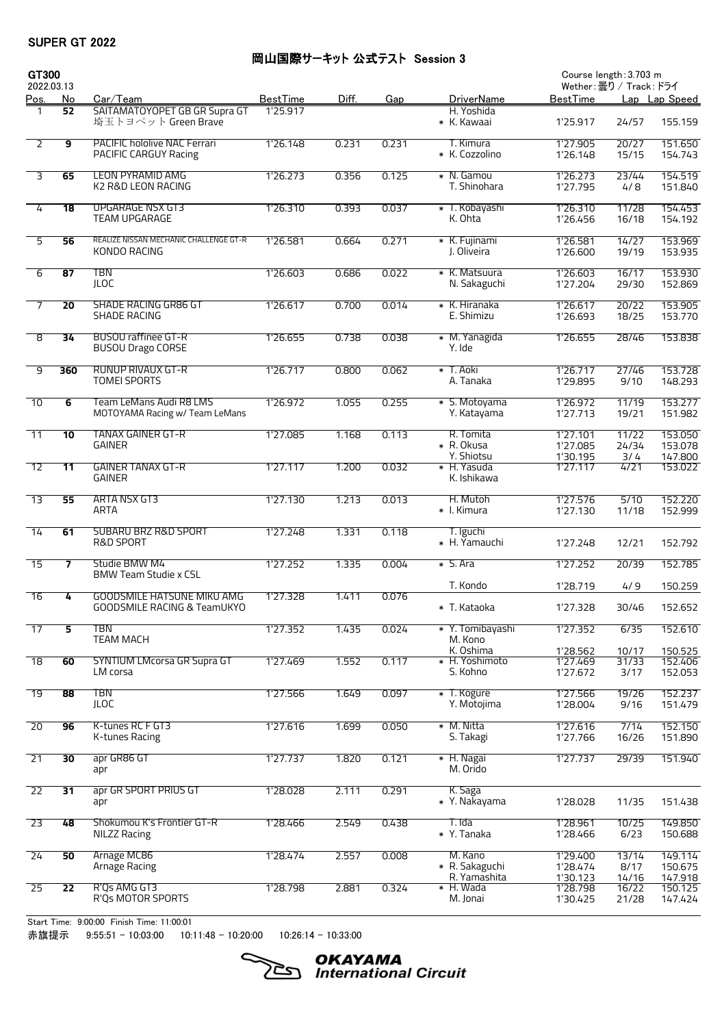## 岡山国際サーキット 公式テスト Session 3

| GT300<br>2022.03.13 |                 |                                                                             |                 |       |       |                                           |                                  | Course length: 3.703 m<br>Wether:曇り / Track: ドライ |                               |
|---------------------|-----------------|-----------------------------------------------------------------------------|-----------------|-------|-------|-------------------------------------------|----------------------------------|--------------------------------------------------|-------------------------------|
| <u>Pos.</u>         | <u>No</u>       | Car/Team                                                                    | <b>BestTime</b> | Diff. | Gap   | <b>DriverName</b>                         | <b>BestTime</b>                  |                                                  | Lap Lap Speed                 |
|                     | 52              | SAITAMATOYOPET GB GR Supra GT<br>埼玉トヨペット Green Brave                        | 1'25.917        |       |       | H. Yoshida<br>* K. Kawaai                 | 1'25.917                         | 24/57                                            | 155.159                       |
| $\overline{2}$      | $\overline{9}$  | <b>PACIFIC hololive NAC Ferrari</b><br>PACIFIC CARGUY Racing                | 1'26.148        | 0.231 | 0.231 | T. Kimura<br>* K. Cozzolino               | 1'27.905<br>1'26.148             | 20/27<br>15/15                                   | 151.650<br>154.743            |
| $\overline{3}$      | 65              | <b>LEON PYRAMID AMG</b><br>K2 R&D LEON RACING                               | 1'26.273        | 0.356 | 0.125 | * N. Gamou<br>T. Shinohara                | 1'26.273<br>1'27.795             | 23/44<br>4/8                                     | 154.519<br>151.840            |
| 4                   | 18              | <b>UPGARAGE NSX GT3</b><br><b>TEAM UPGARAGE</b>                             | 1'26.310        | 0.393 | 0.037 | * T. Kobayashi<br>K. Ohta                 | 1'26.310<br>1'26.456             | 11/28<br>16/18                                   | 154.453<br>154.192            |
| 5                   | 56              | REALIZE NISSAN MECHANIC CHALLENGE GT-R<br>KONDO RACING                      | 1'26.581        | 0.664 | 0.271 | * K. Fujinami<br>J. Oliveira              | 1'26.581<br>1'26.600             | 14/27<br>19/19                                   | 153.969<br>153.935            |
| 6                   | 87              | <b>TBN</b><br>JLOC                                                          | 1'26.603        | 0.686 | 0.022 | * K. Matsuura<br>N. Sakaguchi             | 1'26.603<br>1'27.204             | 16/17<br>29/30                                   | 153.930<br>152.869            |
| $\overline{7}$      | $\overline{20}$ | <b>SHADE RACING GR86 GT</b><br><b>SHADE RACING</b>                          | 1'26.617        | 0.700 | 0.014 | * K. Hiranaka<br>E. Shimizu               | 1'26.617<br>1'26.693             | 20/22<br>18/25                                   | 153.905<br>153.770            |
| ø                   | 34              | <b>BUSOU raffinee GT-R</b><br><b>BUSOU Drago CORSE</b>                      | 1'26.655        | 0.738 | 0.038 | * M. Yanagida<br>Y. Ide                   | 1'26.655                         | 28/46                                            | 153.838                       |
| 9                   | 360             | RUNUP RIVAUX GT-R<br><b>TOMEI SPORTS</b>                                    | 1'26.717        | 0.800 | 0.062 | * T. Aoki<br>A. Tanaka                    | 1'26.717<br>1'29.895             | 27/46<br>9/10                                    | 153.728<br>148.293            |
| $\overline{10}$     | $\overline{6}$  | Team LeMans Audi R8 LMS<br>MOTOYAMA Racing w/ Team LeMans                   | 1'26.972        | 1.055 | 0.255 | * S. Motoyama<br>Y. Katayama              | 1'26.972<br>1'27.713             | 11/19<br>19/21                                   | 153.277<br>151.982            |
| $\overline{11}$     | 10              | <b>TANAX GAINER GT-R</b><br><b>GAINER</b>                                   | 1'27.085        | 1.168 | 0.113 | R. Tomita<br>* R. Okusa                   | 1'27.101<br>1'27.085             | 11/22<br>24/34                                   | 153.050<br>153.078            |
| 12                  | 11              | <b>GAINER TANAX GT-R</b><br><b>GAINER</b>                                   | 1'27.117        | 1.200 | 0.032 | Y. Shiotsu<br>* H. Yasuda<br>K. Ishikawa  | 1'30.195<br>1'27.117             | 3/4<br>4/21                                      | 147.800<br>153.022            |
| $\overline{13}$     | 55              | ARTA NSX GT3<br>ARTA                                                        | 1'27.130        | 1.213 | 0.013 | H. Mutoh<br>* I. Kimura                   | 1'27.576<br>1'27.130             | 5/10<br>11/18                                    | 152.220<br>152.999            |
| $\overline{14}$     | 61              | <b>SUBARU BRZ R&amp;D SPORT</b><br>R&D SPORT                                | 1'27.248        | 1.331 | 0.118 | T. Iguchi<br>* H. Yamauchi                | 1'27.248                         | 12/21                                            | 152.792                       |
| $\overline{15}$     | $\overline{ }$  | Studie BMW M4<br><b>BMW Team Studie x CSL</b>                               | 1'27.252        | 1.335 | 0.004 | * S. Ara                                  | 1'27.252                         | 20/39                                            | 152.785                       |
| $-16$               | 4               | <b>GOODSMILE HATSUNE MIKU AMG</b><br><b>GOODSMILE RACING &amp; TeamUKYO</b> | 1'27.328        | 1.411 | 0.076 | T. Kondo<br>* T. Kataoka                  | 1'28.719<br>1'27.328             | 4/9<br>30/46                                     | 150.259<br>152.652            |
| $\overline{17}$     | 5               | TBN<br><b>TEAM MACH</b>                                                     | 1'27.352        | 1.435 | 0.024 | * Y. Tomibayashi<br>M. Kono               | 1'27.352                         | 6/35                                             | 152.610                       |
| 18                  | 60              | <b>SYNTIUM LMcorsa GR Supra GT</b><br>LM corsa                              | 1'27.469        | 1.552 | 0.117 | K. Oshima<br>* H. Yoshimoto<br>S. Kohno   | 1'28.562<br>1'27.469<br>1'27.672 | 10/17<br>31/33<br>3/17                           | 150.525<br>152.406<br>152.053 |
| $\overline{19}$     | 88              | <b>TBN</b><br><b>JLOC</b>                                                   | 1'27.566        | 1.649 | 0.097 | * T. Kogure<br>Y. Motojima                | 1'27.566<br>1'28.004             | 19/26<br>9/16                                    | 152.237<br>151.479            |
| $\overline{20}$     | 96              | K-tunes RC F GT3                                                            | 1'27.616        | 1.699 | 0.050 | * M. Nitta<br>S. Takagi                   | 1'27.616                         | 7/14                                             | 152.150                       |
| $\overline{21}$     | $\overline{30}$ | K-tunes Racing<br>apr GR86 GT                                               | 1'27.737        | 1.820 | 0.121 | * H. Nagai                                | 1'27.766<br>1'27.737             | 16/26<br>29/39                                   | 151.890<br>151.940            |
| $\overline{22}$     | $\overline{31}$ | apr<br>apr GR SPORT PRIUS GT                                                | 1'28.028        | 2.111 | 0.291 | M. Orido<br>K. Saga                       |                                  |                                                  |                               |
| $\overline{23}$     | 48              | apr<br>Shokumou K's Frontier GT-R                                           | 1'28.466        | 2.549 | 0.438 | * Y. Nakayama<br>T. Ida                   | 1'28.028<br>1'28.961             | 11/35<br>10/25                                   | 151.438<br>149.850            |
|                     |                 | <b>NILZZ Racing</b>                                                         |                 |       |       | * Y. Tanaka                               | 1'28.466                         | 6/23                                             | 150.688                       |
| 24                  | 50              | Arnage MC86<br>Arnage Racing                                                | 1'28.474        | 2.557 | 0.008 | M. Kano<br>* R. Sakaguchi<br>R. Yamashita | 1'29.400<br>1'28.474<br>1'30.123 | 13/14<br>8/17<br>14/16                           | 149.114<br>150.675<br>147.918 |
| $\overline{25}$     | $\overline{22}$ | R'Qs AMG GT3<br>R'Qs MOTOR SPORTS                                           | 1'28.798        | 2.881 | 0.324 | * H. Wada<br>M. Jonai                     | 1'28.798<br>1'30.425             | 16/22<br>21/28                                   | 150.125<br>147.424            |

Start Time: 9:00:00 Finish Time: 11:00:01

赤旗提示 9:55:51 - 10:03:00 10:11:48 - 10:20:00 10:26:14 - 10:33:00

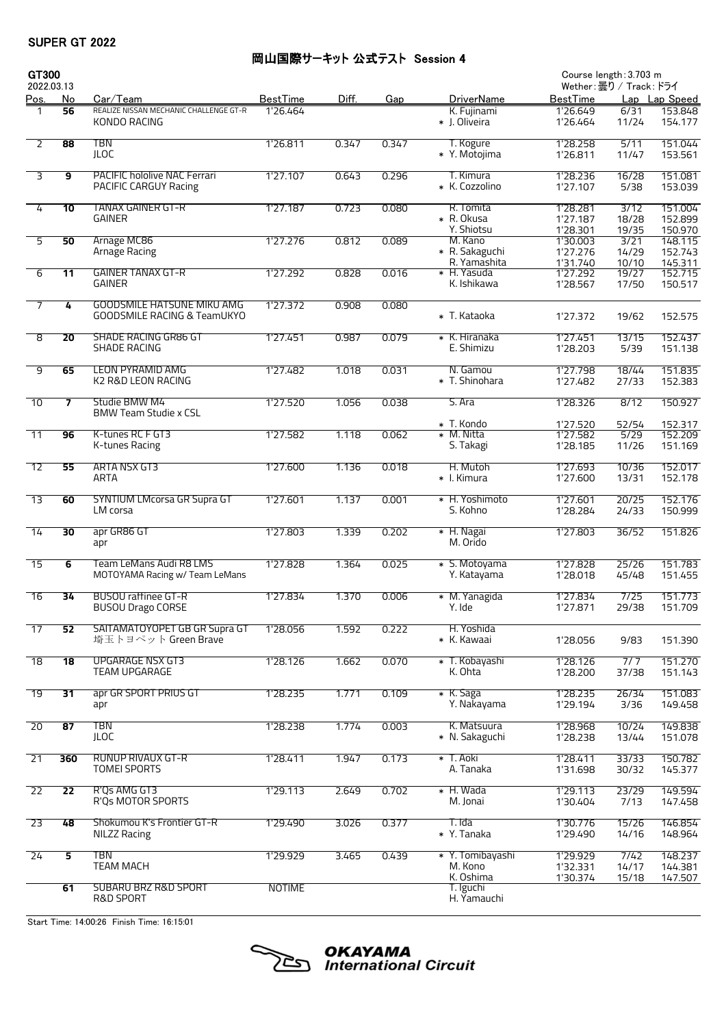## 岡山国際サーキット 公式テスト Session 4

| GT300<br>2022.03.13     |                         |                                                                             |                 |       |       |                                            | Course length: 3.703 m<br>Wether:曇り / Track: ドライ |                         |                               |  |
|-------------------------|-------------------------|-----------------------------------------------------------------------------|-----------------|-------|-------|--------------------------------------------|--------------------------------------------------|-------------------------|-------------------------------|--|
| <u>Pos.</u>             | No                      | Car/Team                                                                    | <b>BestTime</b> | Diff. | Gap   | <b>DriverName</b>                          | <b>BestTime</b>                                  |                         | Lap Lap Speed                 |  |
|                         | 56                      | REALIZE NISSAN MECHANIC CHALLENGE GT-R<br>KONDO RACING                      | 1'26.464        |       |       | K. Fujinami<br>* J. Oliveira               | 1'26.649<br>1'26.464                             | 6/31<br>11/24           | 153.848<br>154.177            |  |
| $\overline{2}$          | 88                      | <b>TBN</b><br><b>JLOC</b>                                                   | 1'26.811        | 0.347 | 0.347 | T. Kogure<br>* Y. Motojima                 | 1'28.258<br>1'26.811                             | 5/11<br>11/47           | 151.044<br>153.561            |  |
| $\overline{\mathbf{3}}$ | 9                       | PACIFIC hololive NAC Ferrari<br>PACIFIC CARGUY Racing                       | 1'27.107        | 0.643 | 0.296 | T. Kimura<br>* K. Cozzolino                | 1'28.236<br>1'27.107                             | 16/28<br>5/38           | 151.081<br>153.039            |  |
| 4                       | 10                      | TANAX GAINER GT-R<br><b>GAINER</b>                                          | 1'27.187        | 0.723 | 0.080 | R. Tomita<br>* R. Okusa                    | 1'28.281<br>1'27.187                             | 3/12<br>18/28           | 151.004<br>152.899            |  |
| 5                       | 50                      | Arnage MC86<br>Arnage Racing                                                | 1'27.276        | 0.812 | 0.089 | Y. Shiotsu<br>M. Kano<br>* R. Sakaguchi    | 1'28.301<br>1'30.003<br>1'27.276                 | 19/35<br>3/21<br>14/29  | 150.970<br>148.115<br>152.743 |  |
| 6                       | $\overline{11}$         | <b>GAINER TANAX GT-R</b><br><b>GAINER</b>                                   | 1'27.292        | 0.828 | 0.016 | R. Yamashita<br>* H. Yasuda<br>K. Ishikawa | 1'31.740<br>1'27.292<br>1'28.567                 | 10/10<br>19/27<br>17/50 | 145.311<br>152.715<br>150.517 |  |
| $\overline{7}$          | 4                       | <b>GOODSMILE HATSUNE MIKU AMG</b><br><b>GOODSMILE RACING &amp; TeamUKYO</b> | 1'27.372        | 0.908 | 0.080 | * T. Kataoka                               | 1'27.372                                         | 19/62                   | 152.575                       |  |
| 8                       | 20                      | <b>SHADE RACING GR86 GT</b><br><b>SHADE RACING</b>                          | 1'27.451        | 0.987 | 0.079 | * K. Hiranaka<br>E. Shimizu                | 1'27.451<br>1'28.203                             | 13/15<br>5/39           | 152.437<br>151.138            |  |
| 9                       | 65                      | <b>LEON PYRAMID AMG</b><br>K2 R&D LEON RACING                               | 1'27.482        | 1.018 | 0.031 | N. Gamou<br>* T. Shinohara                 | 1'27.798<br>1'27.482                             | 18/44<br>27/33          | 151.835<br>152.383            |  |
| $\overline{10}$         | $\overline{\mathbf{z}}$ | Studie BMW M4<br><b>BMW Team Studie x CSL</b>                               | 1'27.520        | 1.056 | 0.038 | S. Ara                                     | 1'28.326                                         | 8/12                    | 150.927                       |  |
| $\overline{11}$         | 96                      | K-tunes RC F GT3<br>K-tunes Racing                                          | 1'27.582        | 1.118 | 0.062 | * T. Kondo<br>* M. Nitta<br>S. Takagi      | 1'27.520<br>1'27.582<br>1'28.185                 | 52/54<br>5/29<br>11/26  | 152.317<br>152.209<br>151.169 |  |
| 12                      | 55                      | ARTA NSX GT3<br>ARTA                                                        | 1'27.600        | 1.136 | 0.018 | H. Mutoh<br>* I. Kimura                    | 1'27.693<br>1'27.600                             | 10/36<br>13/31          | 152.017<br>152.178            |  |
| $\overline{13}$         | 60                      | <b>SYNTIUM LMcorsa GR Supra GT</b><br>LM corsa                              | 1'27.601        | 1.137 | 0.001 | * H. Yoshimoto<br>S. Kohno                 | 1'27.601<br>1'28.284                             | 20/25<br>24/33          | 152.176<br>150.999            |  |
| $\overline{14}$         | 30                      | apr GR86 GT<br>apr                                                          | 1'27.803        | 1.339 | 0.202 | * H. Nagai<br>M. Orido                     | 1'27.803                                         | 36/52                   | 151.826                       |  |
| $\overline{15}$         | 6                       | Team LeMans Audi R8 LMS<br>MOTOYAMA Racing w/ Team LeMans                   | 1'27.828        | 1.364 | 0.025 | * S. Motoyama<br>Y. Katayama               | 1'27.828<br>1'28.018                             | 25/26<br>45/48          | 151.783<br>151.455            |  |
| $\overline{16}$         | 34                      | <b>BUSOU raffinee GT-R</b><br><b>BUSOU Drago CORSE</b>                      | 1'27.834        | 1.370 | 0.006 | * M. Yanagida<br>Y. Ide                    | 1'27.834<br>1'27.871                             | 7/25<br>29/38           | 151.773<br>151.709            |  |
| $\overline{17}$         | 52                      | SAITAMATOYOPET GB GR Supra GT<br>埼玉トヨペット Green Brave                        | 1'28.056        | 1.592 | 0.222 | H. Yoshida<br>* K. Kawaai                  | 1'28.056                                         | 9/83                    | 151.390                       |  |
| $\overline{18}$         | $\overline{18}$         | <b>UPGARAGE NSX GT3</b><br><b>TEAM UPGARAGE</b>                             | 1'28.126        | 1.662 | 0.070 | * T. Kobayashi<br>K. Ohta                  | 1'28.126<br>1'28.200                             | 7/7<br>37/38            | 151.270<br>151.143            |  |
| $\overline{19}$         | $\overline{31}$         | apr GR SPORT PRIUS GT<br>apr                                                | 1'28.235        | 1.771 | 0.109 | * K. Saga<br>Y. Nakayama                   | 1'28.235<br>1'29.194                             | 26/34<br>3/36           | 151.083<br>149.458            |  |
| $\overline{20}$         | $\overline{87}$         | <b>TBN</b><br><b>JLOC</b>                                                   | 1'28.238        | 1.774 | 0.003 | K. Matsuura<br>* N. Sakaguchi              | 1'28.968<br>1'28.238                             | 10/24<br>13/44          | 149.838<br>151.078            |  |
| $\overline{21}$         | 360                     | RUNUP RIVAUX GT-R<br><b>TOMEI SPORTS</b>                                    | 1'28.411        | 1.947 | 0.173 | * T. Aoki<br>A. Tanaka                     | 1'28.411<br>1'31.698                             | 33/33<br>30/32          | 150.782<br>145.377            |  |
| $\overline{22}$         | $\overline{22}$         | R'Qs AMG GT3<br>R'Qs MOTOR SPORTS                                           | 1'29.113        | 2.649 | 0.702 | * H. Wada<br>M. Jonai                      | 1'29.113<br>1'30.404                             | 23/29<br>7/13           | 149.594<br>147.458            |  |
| 23                      | 48                      | Shokumou K's Frontier GT-R<br><b>NILZZ Racing</b>                           | 1'29.490        | 3.026 | 0.377 | T. Ida<br>* Y. Tanaka                      | 1'30.776<br>1'29.490                             | 15/26<br>14/16          | 146.854<br>148.964            |  |
| 24                      | 5                       | TBN<br><b>TEAM MACH</b>                                                     | 1'29.929        | 3.465 | 0.439 | * Y. Tomibayashi<br>M. Kono                | 1'29.929<br>1'32.331                             | 7/42<br>14/17           | 148.237<br>144.381            |  |
|                         | 61                      | <b>SUBARU BRZ R&amp;D SPORT</b><br>R&D SPORT                                | <b>NOTIME</b>   |       |       | K. Oshima<br>T. Iguchi<br>H. Yamauchi      | 1'30.374                                         | 15/18                   | 147.507                       |  |

Start Time: 14:00:26 Finish Time: 16:15:01

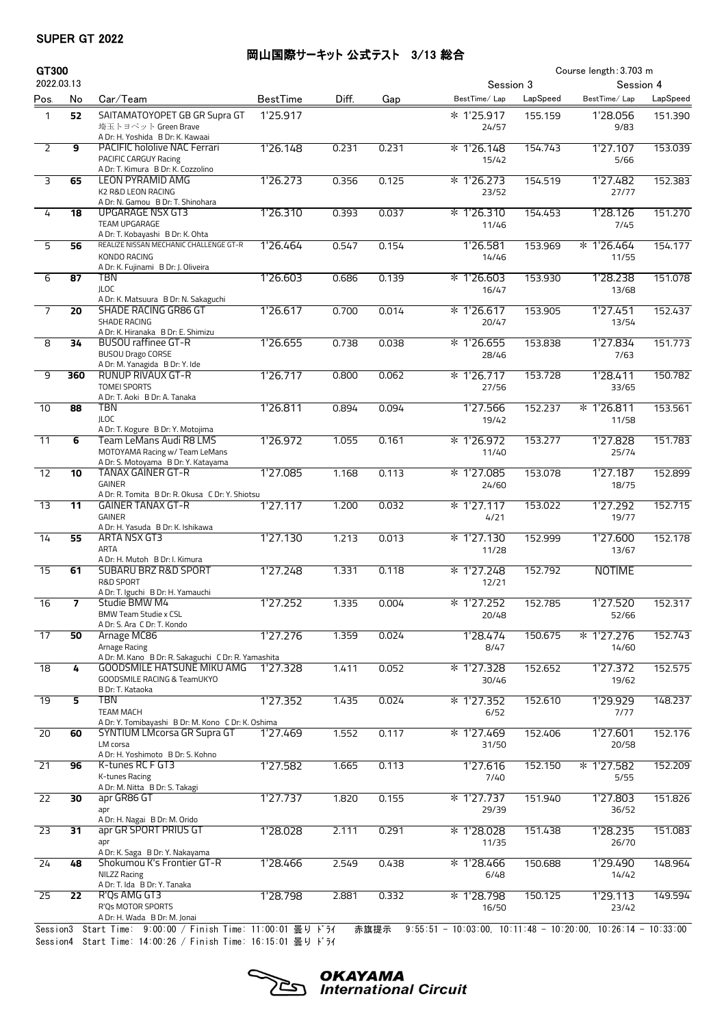#### 岡山国際サーキット 公式テスト 3/13 総合

| GT300           |                          |                                                                                                                                   |                 |       |       |                                                                |           | Course length: 3.703 m |          |
|-----------------|--------------------------|-----------------------------------------------------------------------------------------------------------------------------------|-----------------|-------|-------|----------------------------------------------------------------|-----------|------------------------|----------|
| 2022.03.13      |                          |                                                                                                                                   |                 |       |       |                                                                | Session 3 | Session 4              |          |
| Pos.            | No                       | Car/Team                                                                                                                          | <b>BestTime</b> | Diff. | Gap   | BestTime/Lap                                                   | LapSpeed  | BestTime/Lap           | LapSpeed |
| $\mathbf{1}$    | 52                       | SAITAMATOYOPET GB GR Supra GT<br>埼玉トヨペット Green Brave<br>A Dr: H. Yoshida B Dr: K. Kawaai                                          | 1'25.917        |       |       | * 1'25.917<br>24/57                                            | 155.159   | 1'28.056<br>9/83       | 151.390  |
| 2               | 9                        | <b>PACIFIC hololive NAC Ferrari</b><br>PACIFIC CARGUY Racing<br>A Dr: T. Kimura B Dr: K. Cozzolino                                | 1'26.148        | 0.231 | 0.231 | $* 1'26.148$<br>15/42                                          | 154.743   | 1'27.107<br>5/66       | 153.039  |
| 3               | 65                       | <b>LEON PYRAMID AMG</b><br>K2 R&D LEON RACING                                                                                     | 1'26.273        | 0.356 | 0.125 | * 1'26.273<br>23/52                                            | 154.519   | 1'27.482<br>27/77      | 152.383  |
| 4               | 18                       | A Dr: N. Gamou B Dr: T. Shinohara<br>UPGARAGE NSX GT3<br>TEAM UPGARAGE                                                            | 1'26.310        | 0.393 | 0.037 | $* 1'26.310$<br>11/46                                          | 154.453   | 1'28.126<br>7/45       | 151.270  |
| 5               | 56                       | A Dr: T. Kobayashi B Dr: K. Ohta<br>REALIZE NISSAN MECHANIC CHALLENGE GT-R<br>KONDO RACING<br>A Dr: K. Fujinami B Dr: J. Oliveira | 1'26.464        | 0.547 | 0.154 | 1'26.581<br>14/46                                              | 153.969   | * 1'26.464<br>11/55    | 154.177  |
| 6               | 87                       | TBN<br><b>JLOC</b><br>A Dr: K. Matsuura B Dr: N. Sakaguchi                                                                        | 1'26.603        | 0.686 | 0.139 | * 1'26.603<br>16/47                                            | 153.930   | 1'28.238<br>13/68      | 151.078  |
| $\overline{7}$  | 20                       | <b>SHADE RACING GR86 GT</b><br><b>SHADE RACING</b><br>A Dr: K. Hiranaka B Dr: E. Shimizu                                          | 1'26.617        | 0.700 | 0.014 | * 1'26.617<br>20/47                                            | 153.905   | 1'27.451<br>13/54      | 152.437  |
| 8               | 34                       | <b>BUSOU</b> raffinee GT-R<br><b>BUSOU Drago CORSE</b><br>A Dr: M. Yanagida B Dr: Y. Ide                                          | 1'26.655        | 0.738 | 0.038 | * 1'26.655<br>28/46                                            | 153.838   | 1'27.834<br>7/63       | 151.773  |
| 9               | 360                      | RUNUP RIVAUX GT-R<br><b>TOMEI SPORTS</b><br>A Dr: T. Aoki B Dr: A. Tanaka                                                         | 1'26.717        | 0.800 | 0.062 | * 1'26.717<br>27/56                                            | 153.728   | 1'28.411<br>33/65      | 150.782  |
| 10              | 88                       | <b>TBN</b><br><b>JLOC</b><br>A Dr: T. Kogure B Dr: Y. Motojima                                                                    | 1'26.811        | 0.894 | 0.094 | 1'27.566<br>19/42                                              | 152.237   | * 1'26.811<br>11/58    | 153.561  |
| $\overline{11}$ | 6                        | Team LeMans Audi R8 LMS<br>MOTOYAMA Racing w/ Team LeMans                                                                         | 1'26.972        | 1.055 | 0.161 | * 1'26.972<br>11/40                                            | 153.277   | 1'27.828<br>25/74      | 151.783  |
| $\overline{12}$ | 10                       | A Dr: S. Motoyama B Dr: Y. Katayama<br><b>TANAX GAINER GT-R</b><br>GAINER                                                         | 1'27.085        | 1.168 | 0.113 | * 1'27.085<br>24/60                                            | 153.078   | 1'27.187<br>18/75      | 152.899  |
| $\overline{13}$ | 11                       | A Dr: R. Tomita B Dr: R. Okusa C Dr: Y. Shiotsu<br><b>GAINER TANAX GT-R</b><br><b>GAINER</b>                                      | 1'27.117        | 1.200 | 0.032 | * 1'27.117<br>4/21                                             | 153.022   | 1'27.292<br>19/77      | 152.715  |
| $\overline{14}$ | 55                       | A Dr: H. Yasuda B Dr: K. Ishikawa<br>ARTA NSX GT3<br>ARTA                                                                         | 1'27.130        | 1.213 | 0.013 | * 1'27.130<br>11/28                                            | 152.999   | 1'27.600<br>13/67      | 152.178  |
| 15              | 61                       | A Dr: H. Mutoh B Dr: I. Kimura<br><b>SUBARU BRZ R&amp;D SPORT</b><br>R&D SPORT<br>A Dr: T. Iguchi B Dr: H. Yamauchi               | 1'27.248        | 1.331 | 0.118 | * 1'27.248<br>12/21                                            | 152.792   | <b>NOTIME</b>          |          |
| 16              | $\overline{\phantom{a}}$ | Studie BMW M4<br><b>BMW Team Studie x CSL</b><br>A Dr: S. Ara C Dr: T. Kondo                                                      | 1'27.252        | 1.335 | 0.004 | * 1'27.252<br>20/48                                            | 152.785   | 1'27.520<br>52/66      | 152.317  |
| 17              | 50                       | Arnage MC86<br>Arnage Racing<br>A Dr: M. Kano B Dr: R. Sakaguchi C Dr: R. Yamashita                                               | 1'27.276        | 1.359 | 0.024 | 1'28.474<br>8/47                                               | 150.675   | * 1'27.276<br>14/60    | 152.743  |
| 18              | 4                        | <b>GOODSMILE HATSUNE MIKU AMG</b><br>GOODSMILE RACING & TeamUKYO<br>B Dr: T. Kataoka                                              | 1'27.328        | 1.411 | 0.052 | $* 1'27.328$<br>30/46                                          | 152.652   | 1'27.372<br>19/62      | 152.575  |
| 19              | 5                        | <b>TBN</b><br><b>TEAM MACH</b><br>A Dr: Y. Tomibayashi B Dr: M. Kono C Dr: K. Oshima                                              | 1'27.352        | 1.435 | 0.024 | $* 1'27.352$<br>6/52                                           | 152.610   | 1'29.929<br>7/77       | 148.237  |
| 20              | 60                       | SYNTIUM LMcorsa GR Supra GT<br>LM corsa<br>A Dr: H. Yoshimoto B Dr: S. Kohno                                                      | 1'27.469        | 1.552 | 0.117 | $* 1'27.469$<br>31/50                                          | 152.406   | 1'27.601<br>20/58      | 152.176  |
| $\overline{21}$ | 96                       | K-tunes RC F GT3<br>K-tunes Racing<br>A Dr: M. Nitta B Dr: S. Takagi                                                              | 1'27.582        | 1.665 | 0.113 | 1'27.616<br>7/40                                               | 152.150   | * 1'27.582<br>5/55     | 152.209  |
| 22              | 30                       | apr GR86 GT<br>apr<br>A Dr: H. Nagai B Dr: M. Orido                                                                               | 1'27.737        | 1.820 | 0.155 | * 1'27.737<br>29/39                                            | 151.940   | 1'27.803<br>36/52      | 151.826  |
| 23              | 31                       | apr GR SPORT PRIUS GT<br>apr<br>A Dr: K. Saga B Dr: Y. Nakayama                                                                   | 1'28.028        | 2.111 | 0.291 | * 1'28.028<br>11/35                                            | 151.438   | 1'28.235<br>26/70      | 151.083  |
| 24              | 48                       | Shokumou K's Frontier GT-R<br>NILZZ Racing<br>A Dr: T. Ida B Dr: Y. Tanaka                                                        | 1'28.466        | 2.549 | 0.438 | * 1'28.466<br>6/48                                             | 150.688   | 1'29.490<br>14/42      | 148.964  |
| 25              | 22                       | R'Qs AMG GT3<br>R'Qs MOTOR SPORTS                                                                                                 | 1'28.798        | 2.881 | 0.332 | * 1'28.798<br>16/50                                            | 150.125   | 1'29.113<br>23/42      | 149.594  |
|                 |                          | A Dr: H. Wada B Dr: M. Jonai<br>Session3 Start Time: 9:00:00 / Finish Time: 11:00:01 曇り ドライ                                       |                 |       | 赤旗提示  | $9:55:51 - 10:03:00, 10:11:48 - 10:20:00, 10:26:14 - 10:33:00$ |           |                        |          |

Session3 Start Time: 9:00:00 / Finish Time: 11:00:01 曇りドライ<br>Session4 Start Time: 14:00:26 / Finish Time: 16:15:01 曇りドライ

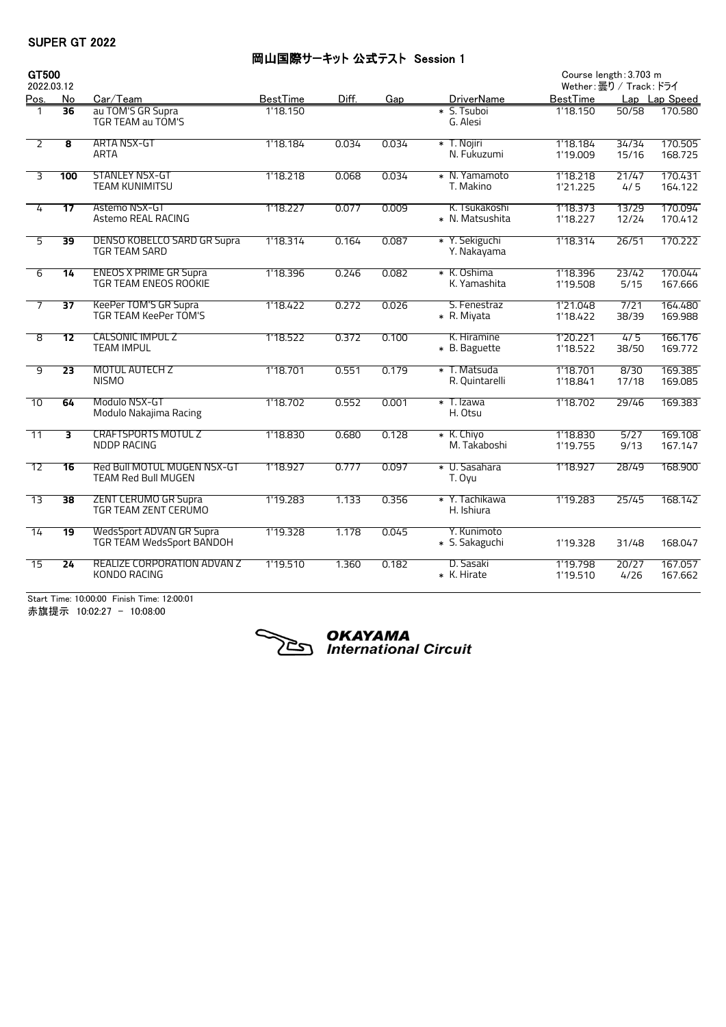## 岡山国際サーキット 公式テスト Session 1

| GT500                   |                         |                                                               |                 |       |       |                                  | Course length: 3.703 m |                        |                    |  |
|-------------------------|-------------------------|---------------------------------------------------------------|-----------------|-------|-------|----------------------------------|------------------------|------------------------|--------------------|--|
| 2022.03.12              |                         |                                                               |                 |       |       |                                  |                        | Wether:曇り / Track: ドライ |                    |  |
| <u>Pos.</u>             | No                      | Car/Team                                                      | <b>BestTime</b> | Diff. | Gap   | <b>DriverName</b>                | <b>BestTime</b>        |                        | Lap Lap Speed      |  |
| 1                       | $\overline{36}$         | au TOM'S GR Supra<br>TGR TEAM au TOM'S                        | 1'18.150        |       |       | * S. Tsuboi<br>G. Alesi          | 1'18.150               | 50/58                  | 170.580            |  |
| $\overline{2}$          | $\overline{\mathbf{8}}$ | <b>ARTA NSX-GT</b><br>ARTA                                    | 1'18.184        | 0.034 | 0.034 | * T. Nojiri<br>N. Fukuzumi       | 1'18.184<br>1'19.009   | 34/34<br>15/16         | 170.505<br>168.725 |  |
| $\overline{\mathbf{3}}$ | 100                     | <b>STANLEY NSX-GT</b><br><b>TEAM KUNIMITSU</b>                | 1'18.218        | 0.068 | 0.034 | * N. Yamamoto<br>T. Makino       | 1'18.218<br>1'21.225   | 21/47<br>4/5           | 170.431<br>164.122 |  |
| 4                       | $\overline{17}$         | Astemo NSX-GT<br>Astemo REAL RACING                           | 1'18.227        | 0.077 | 0.009 | K. Tsukakoshi<br>* N. Matsushita | 1'18.373<br>1'18.227   | 13/29<br>12/24         | 170.094<br>170.412 |  |
| $\overline{5}$          | $\overline{39}$         | <b>DENSO KOBELCO SARD GR Supra</b><br>TGR TEAM SARD           | 1'18.314        | 0.164 | 0.087 | * Y. Sekiguchi<br>Y. Nakayama    | 1'18.314               | 26/51                  | 170.222            |  |
| $\overline{6}$          | 14                      | <b>ENEOS X PRIME GR Supra</b><br><b>TGR TEAM ENEOS ROOKIE</b> | 1'18.396        | 0.246 | 0.082 | * K. Oshima<br>K. Yamashita      | 1'18.396<br>1'19.508   | 23/42<br>5/15          | 170.044<br>167.666 |  |
| $\overline{7}$          | $\overline{37}$         | <b>KeePer TOM'S GR Supra</b><br>TGR TEAM KeePer TOM'S         | 1'18.422        | 0.272 | 0.026 | S. Fenestraz<br>* R. Miyata      | 1'21.048<br>1'18.422   | 7/21<br>38/39          | 164.480<br>169.988 |  |
| $\overline{8}$          | 12                      | <b>CALSONIC IMPUL Z</b><br><b>TEAM IMPUL</b>                  | 1'18.522        | 0.372 | 0.100 | K. Hiramine<br>* B. Baguette     | 1'20.221<br>1'18.522   | 4/5<br>38/50           | 166.176<br>169.772 |  |
| 9                       | $\overline{23}$         | <b>MOTUL AUTECH Z</b><br><b>NISMO</b>                         | 1'18.701        | 0.551 | 0.179 | * T. Matsuda<br>R. Quintarelli   | 1'18.701<br>1'18.841   | 8/30<br>17/18          | 169.385<br>169.085 |  |
| 10                      | 64                      | Modulo NSX-GT<br>Modulo Nakajima Racing                       | 1'18.702        | 0.552 | 0.001 | * T. Izawa<br>H. Otsu            | 1'18.702               | 29/46                  | 169.383            |  |
| $\overline{11}$         | $\overline{3}$          | <b>CRAFTSPORTS MOTUL Z</b><br><b>NDDP RACING</b>              | 1'18.830        | 0.680 | 0.128 | * K. Chiyo<br>M. Takaboshi       | 1'18.830<br>1'19.755   | 5/27<br>9/13           | 169.108<br>167.147 |  |
| $\overline{12}$         | 16                      | Red Bull MOTUL MUGEN NSX-GT<br><b>TEAM Red Bull MUGEN</b>     | 1'18.927        | 0.777 | 0.097 | * U. Sasahara<br>T. Oyu          | 1'18.927               | 28/49                  | 168.900            |  |
| $\overline{13}$         | $\overline{38}$         | <b>ZENT CERUMO GR Supra</b><br>TGR TEAM ZENT CERUMO           | 1'19.283        | 1.133 | 0.356 | * Y. Tachikawa<br>H. Ishiura     | 1'19.283               | 25/45                  | 168.142            |  |
| 14                      | $\overline{19}$         | WedsSport ADVAN GR Supra<br>TGR TEAM WedsSport BANDOH         | 1'19.328        | 1.178 | 0.045 | Y. Kunimoto<br>* S. Sakaguchi    | 1'19.328               | 31/48                  | 168.047            |  |
| $\overline{15}$         | 24                      | REALIZE CORPORATION ADVAN Z<br>KONDO RACING                   | 1'19.510        | 1.360 | 0.182 | D. Sasaki<br>* K. Hirate         | 1'19.798<br>1'19.510   | 20/27<br>4/26          | 167.057<br>167.662 |  |

Start Time: 10:00:00 Finish Time: 12:00:01 赤旗提示 10:02:27 - 10:08:00



# **OKAYAMA**<br>International Circuit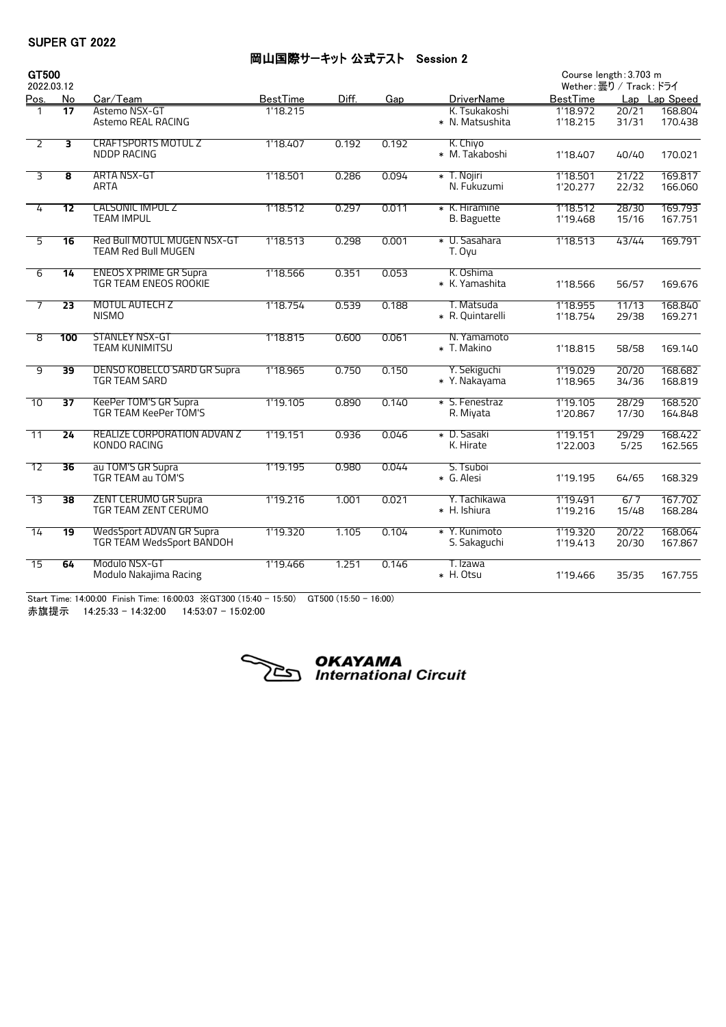## 岡山国際サーキット 公式テスト Session 2

| GT500           |                 |                                                            |                 |       |       |                                     | Course length: 3.703 m |                         |                    |  |
|-----------------|-----------------|------------------------------------------------------------|-----------------|-------|-------|-------------------------------------|------------------------|-------------------------|--------------------|--|
| 2022.03.12      |                 |                                                            |                 |       |       |                                     |                        | Wether: 曇り / Track: ドライ |                    |  |
| <u>Pos.</u>     | No              | Car/Team                                                   | <b>BestTime</b> | Diff. | Gap   | <b>DriverName</b>                   | <b>BestTime</b>        |                         | Lap Lap Speed      |  |
| $\mathbf{1}$    | $\overline{17}$ | Astemo NSX-GT<br>Astemo REAL RACING                        | 1'18.215        |       |       | K. Tsukakoshi<br>* N. Matsushita    | 1'18.972<br>1'18.215   | 20/21<br>31/31          | 168.804<br>170.438 |  |
| $\overline{2}$  | 3               | <b>CRAFTSPORTS MOTUL Z</b><br><b>NDDP RACING</b>           | 1'18.407        | 0.192 | 0.192 | K. Chiyo<br>* M. Takaboshi          | 1'18.407               | 40/40                   | 170.021            |  |
| 3               | 8               | <b>ARTA NSX-GT</b><br>ARTA                                 | 1'18.501        | 0.286 | 0.094 | * T. Nojiri<br>N. Fukuzumi          | 1'18.501<br>1'20.277   | 21/22<br>22/32          | 169.817<br>166.060 |  |
| 4               | $\overline{12}$ | <b>CALSONIC IMPUL Z</b><br><b>TEAM IMPUL</b>               | 1'18.512        | 0.297 | 0.011 | * K. Hiramine<br><b>B.</b> Baguette | 1'18.512<br>1'19.468   | 28/30<br>15/16          | 169.793<br>167.751 |  |
| $\overline{5}$  | $\overline{16}$ | Red Bull MOTUL MUGEN NSX-GT<br><b>TEAM Red Bull MUGEN</b>  | 1'18.513        | 0.298 | 0.001 | * U. Sasahara<br>T. Oyu             | 1'18.513               | 43/44                   | 169.791            |  |
| $\overline{6}$  | $\overline{14}$ | <b>ENEOS X PRIME GR Supra</b><br>TGR TEAM ENEOS ROOKIE     | 1'18.566        | 0.351 | 0.053 | K. Oshima<br>* K. Yamashita         | 1'18.566               | 56/57                   | 169.676            |  |
| $\overline{7}$  | $\overline{23}$ | MOTUL AUTECH Z<br><b>NISMO</b>                             | 1'18.754        | 0.539 | 0.188 | T. Matsuda<br>* R. Quintarelli      | 1'18.955<br>1'18.754   | 11/13<br>29/38          | 168.840<br>169.271 |  |
| 8               | 100             | <b>STANLEY NSX-GT</b><br><b>TEAM KUNIMITSU</b>             | 1'18.815        | 0.600 | 0.061 | N. Yamamoto<br>* T. Makino          | 1'18.815               | 58/58                   | 169.140            |  |
| व               | 39              | <b>DENSO KOBELCO SARD GR Supra</b><br><b>TGR TEAM SARD</b> | 1'18.965        | 0.750 | 0.150 | Y. Sekiguchi<br>* Y. Nakayama       | 1'19.029<br>1'18.965   | 20/20<br>34/36          | 168.682<br>168.819 |  |
| $\overline{10}$ | $\overline{37}$ | KeePer TOM'S GR Supra<br><b>TGR TEAM KeePer TOM'S</b>      | 1'19.105        | 0.890 | 0.140 | * S. Fenestraz<br>R. Miyata         | 1'19.105<br>1'20.867   | 28/29<br>17/30          | 168.520<br>164.848 |  |
| $\overline{11}$ | 24              | <b>REALIZE CORPORATION ADVAN Z</b><br>KONDO RACING         | 1'19.151        | 0.936 | 0.046 | * D. Sasaki<br>K. Hirate            | 1'19.151<br>1'22.003   | 29/29<br>5/25           | 168.422<br>162.565 |  |
| 12              | 36              | au TOM'S GR Supra<br>TGR TEAM au TOM'S                     | 1'19.195        | 0.980 | 0.044 | S. Tsuboi<br>* G. Alesi             | 1'19.195               | 64/65                   | 168.329            |  |
| $\overline{13}$ | $\overline{38}$ | <b>ZENT CERUMO GR Supra</b><br>TGR TEAM ZENT CERUMO        | 1'19.216        | 1.001 | 0.021 | Y. Tachikawa<br>* H. Ishiura        | 1'19.491<br>1'19.216   | 6/7<br>15/48            | 167.702<br>168.284 |  |
| $\overline{14}$ | $\overline{19}$ | WedsSport ADVAN GR Supra<br>TGR TEAM WedsSport BANDOH      | 1'19.320        | 1.105 | 0.104 | * Y. Kunimoto<br>S. Sakaguchi       | 1'19.320<br>1'19.413   | 20/22<br>20/30          | 168.064<br>167.867 |  |
| $\overline{15}$ | 64              | Modulo NSX-GT<br>Modulo Nakajima Racing                    | 1'19.466        | 1.251 | 0.146 | T. Izawa<br>* H. Otsu               | 1'19.466               | 35/35                   | 167.755            |  |

Start Time: 14:00:00 Finish Time: 16:00:03 ※GT300 (15:40 - 15:50) GT500 (15:50 - 16:00) 赤旗提示 14:25:33 - 14:32:00 14:53:07 - 15:02:00

**OKAYAMA** *CONFIGURATION* Circuit